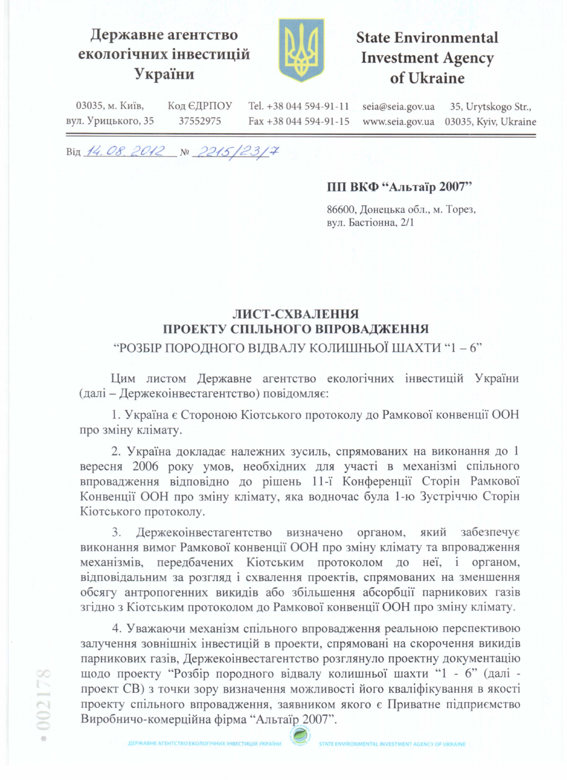## Державне агентство екологічних інвестицій України



# **State Environmental Investment Agency** of Ukraine

03035, м. Київ, Код ЄДРПОУ Tel. +38 044 594-91-11 seia@seia.gov.ua 35, Urytskogo Str., вул. Урицького, 35 37552975 www.seia.gov.ua 03035, Kyiv, Ukraine Fax +38 044 594-91-15

Від 14.08.2012 № 2215/23/7

#### ПП ВКФ "Альтаїр 2007"

86600, Донецька обл., м. Торез, вул. Бастіонна, 2/1

## ЛИСТ-СХВАЛЕННЯ ПРОЕКТУ СПІЛЬНОГО ВПРОВАДЖЕННЯ

## "РОЗБІР ПОРОДНОГО ВІДВАЛУ КОЛИШНЬОЇ ШАХТИ "1 - 6"

Цим листом Державне агентство екологічних інвестицій України (далі - Держекоінвестагентство) повідомляє:

1. Україна є Стороною Кіотського протоколу до Рамкової конвенції ООН про зміну клімату.

2. Україна докладає належних зусиль, спрямованих на виконання до 1 вересня 2006 року умов, необхідних для участі в механізмі спільного впровадження відповідно до рішень 11-ї Конференції Сторін Рамкової Конвенції ООН про зміну клімату, яка водночас була 1-ю Зустріччю Сторін Кіотського протоколу.

3. Держекоінвестагентство визначено органом, який забезпечує виконання вимог Рамкової конвенції ООН про зміну клімату та впровадження передбачених Кіотським протоколом до неї, і органом, механізмів. відповідальним за розгляд і схвалення проектів, спрямованих на зменшення обсягу антропогенних викидів або збільшення абсорбції парникових газів згідно з Кіотським протоколом до Рамкової конвенції ООН про зміну клімату.

4. Уважаючи механізм спільного впровадження реальною перспективою залучення зовнішніх інвестицій в проекти, спрямовані на скорочення викидів парникових газів, Держекоінвестагентство розглянуло проектну документацію щодо проекту "Розбір породного відвалу колишньої шахти "1 - 6" (далі проект CB) з точки зору визначення можливості його кваліфікування в якості проекту спільного впровадження, заявником якого є Приватне підприємство Виробничо-комерційна фірма "Альтаїр 2007".

002178